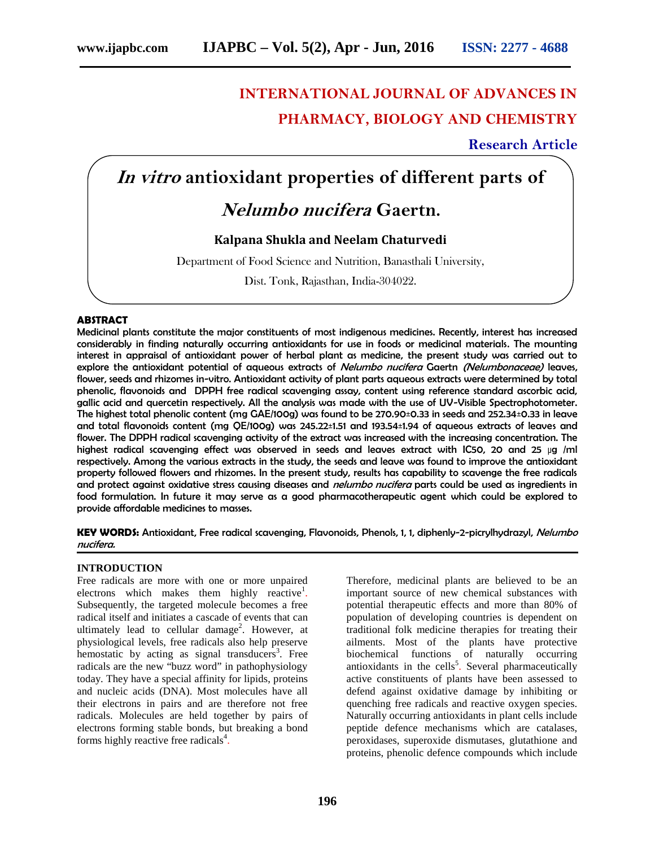# **INTERNATIONAL JOURNAL OF ADVANCES IN PHARMACY, BIOLOGY AND CHEMISTRY**

**Research Article**

## *In vitro* **antioxidant properties of different parts of**

## *Nelumbo nucifera* **Gaertn.**

### **Kalpana Shukla and Neelam Chaturvedi**

Department of Food Science and Nutrition, Banasthali University,

Dist. Tonk, Rajasthan, India-304022.

#### **ABSTRACT**

Medicinal plants constitute the major constituents of most indigenous medicines. Recently, interest has increased considerably in finding naturally occurring antioxidants for use in foods or medicinal materials. The mounting interest in appraisal of antioxidant power of herbal plant as medicine, the present study was carried out to explore the antioxidant potential of aqueous extracts of *Nelumbo nucifera* Gaertn *(Nelumbonaceae)* leaves, flower, seeds and rhizomes in-vitro. Antioxidant activity of plant parts aqueous extracts were determined by total phenolic, flavonoids and DPPH free radical scavenging assay, content using reference standard ascorbic acid, gallic acid and quercetin respectively. All the analysis was made with the use of UV-Visible Spectrophotometer. The highest total phenolic content (mg GAE/100g) was found to be 270.90±0.33 in seeds and 252.34±0.33 in leave and total flavonoids content (mg QE/100g) was 245.22±1.51 and 193.54±1.94 of aqueous extracts of leaves and flower. The DPPH radical scavenging activity of the extract was increased with the increasing concentration. The highest radical scavenging effect was observed in seeds and leaves extract with IC50, 20 and 25 μg /ml respectively. Among the various extracts in the study, the seeds and leave was found to improve the antioxidant property followed flowers and rhizomes. In the present study, results has capability to scavenge the free radicals and protect against oxidative stress causing diseases and *nelumbo nucifera* parts could be used as ingredients in food formulation. In future it may serve as a good pharmacotherapeutic agent which could be explored to provide affordable medicines to masses.

**KEY WORDS:** Antioxidant, Free radical scavenging, Flavonoids, Phenols, 1, 1, diphenly-2-picrylhydrazyl, *Nelumbo nucifera.*

#### **INTRODUCTION**

Free radicals are more with one or more unpaired electrons which makes them highly reactive<sup>1</sup>. Subsequently, the targeted molecule becomes a free radical itself and initiates a cascade of events that can ultimately lead to cellular damage<sup>2</sup>. However, at physiological levels, free radicals also help preserve hemostatic by acting as signal transducers<sup>3</sup>. Free radicals are the new "buzz word" in pathophysiology today. They have a special affinity for lipids, proteins and nucleic acids (DNA). Most molecules have all their electrons in pairs and are therefore not free radicals. Molecules are held together by pairs of electrons forming stable bonds, but breaking a bond forms highly reactive free radicals<sup>4</sup>.

Therefore, medicinal plants are believed to be an important source of new chemical substances with potential therapeutic effects and more than 80% of population of developing countries is dependent on traditional folk medicine therapies for treating their ailments. Most of the plants have protective biochemical functions of naturally occurring antioxidants in the cells<sup>5</sup>. Several pharmaceutically active constituents of plants have been assessed to defend against oxidative damage by inhibiting or quenching free radicals and reactive oxygen species. Naturally occurring antioxidants in plant cells include peptide defence mechanisms which are catalases, peroxidases, superoxide dismutases, glutathione and proteins, phenolic defence compounds which include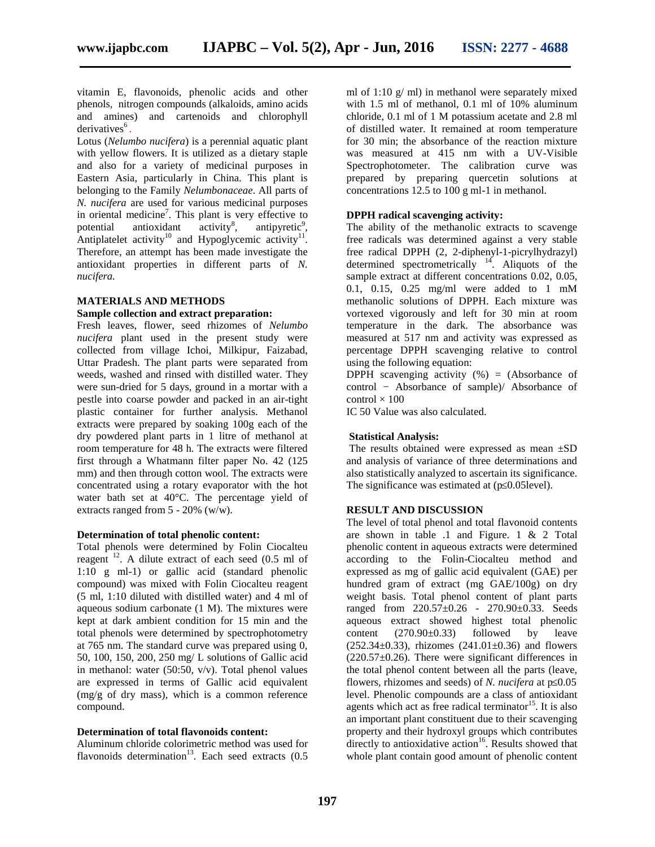vitamin E, flavonoids, phenolic acids and other phenols, nitrogen compounds (alkaloids, amino acids and amines) and cartenoids and chlorophyll derivatives<sup>6</sup>. .

Lotus (*Nelumbo nucifera*) is a perennial aquatic plant with yellow flowers. It is utilized as a dietary staple and also for a variety of medicinal purposes in Eastern Asia, particularly in China. This plant is belonging to the Family *Nelumbonaceae*. All parts of *N. nucifera* are used for various medicinal purposes in oriental medicine<sup>7</sup>. This plant is very effective to potential antioxidant activity<sup>8</sup>,  $,$  antipyretic<sup>9</sup>, Antiplatelet activity<sup>10</sup> and Hypoglycemic activity<sup>11</sup>. Therefore, an attempt has been made investigate the antioxidant properties in different parts of *N. nucifera.*

#### **MATERIALS AND METHODS**

#### **Sample collection and extract preparation:**

Fresh leaves, flower, seed rhizomes of *Nelumbo nucifera* plant used in the present study were collected from village Ichoi, Milkipur, Faizabad, Uttar Pradesh. The plant parts were separated from weeds, washed and rinsed with distilled water. They were sun-dried for 5 days, ground in a mortar with a pestle into coarse powder and packed in an air-tight plastic container for further analysis. Methanol extracts were prepared by soaking 100g each of the dry powdered plant parts in 1 litre of methanol at room temperature for 48 h. The extracts were filtered first through a Whatmann filter paper No. 42 (125 mm) and then through cotton wool. The extracts were concentrated using a rotary evaporator with the hot water bath set at 40°C. The percentage yield of extracts ranged from 5 - 20% (w/w).

#### **Determination of total phenolic content:**

Total phenols were determined by Folin Ciocalteu reagent <sup>12</sup>. A dilute extract of each seed (0.5 ml of 1:10 g ml-1) or gallic acid (standard phenolic compound) was mixed with Folin Ciocalteu reagent (5 ml, 1:10 diluted with distilled water) and 4 ml of aqueous sodium carbonate (1 M). The mixtures were kept at dark ambient condition for 15 min and the total phenols were determined by spectrophotometry at 765 nm. The standard curve was prepared using 0, 50, 100, 150, 200, 250 mg/ L solutions of Gallic acid in methanol: water  $(50:50, v/v)$ . Total phenol values are expressed in terms of Gallic acid equivalent (mg/g of dry mass), which is a common reference compound.

#### **Determination of total flavonoids content:**

Aluminum chloride colorimetric method was used for flavonoids determination<sup>13</sup>. Each seed extracts  $(0.5)$ 

ml of 1:10  $g$ / ml) in methanol were separately mixed with 1.5 ml of methanol, 0.1 ml of 10% aluminum chloride, 0.1 ml of 1 M potassium acetate and 2.8 ml of distilled water. It remained at room temperature for 30 min; the absorbance of the reaction mixture was measured at 415 nm with a UV-Visible Spectrophotometer. The calibration curve was prepared by preparing quercetin solutions at concentrations 12.5 to 100 g ml-1 in methanol.

#### **DPPH radical scavenging activity:**

The ability of the methanolic extracts to scavenge free radicals was determined against a very stable free radical DPPH (2, 2-diphenyl-1-picrylhydrazyl) determined spectrometrically  $14$ . Aliquots of the sample extract at different concentrations 0.02, 0.05, 0.1, 0.15, 0.25 mg/ml were added to 1 mM methanolic solutions of DPPH. Each mixture was vortexed vigorously and left for 30 min at room temperature in the dark. The absorbance was measured at 517 nm and activity was expressed as percentage DPPH scavenging relative to control using the following equation:

DPPH scavenging activity  $(\%) = (Absorbane \ of$ control − Absorbance of sample)/ Absorbance of  $control \times 100$ 

IC 50 Value was also calculated.

#### **Statistical Analysis:**

The results obtained were expressed as mean ±SD and analysis of variance of three determinations and also statistically analyzed to ascertain its significance. The significance was estimated at  $(p\ 0.05$ level).

#### **RESULT AND DISCUSSION**

The level of total phenol and total flavonoid contents are shown in table .1 and Figure. 1 & 2 Total phenolic content in aqueous extracts were determined according to the Folin-Ciocalteu method and expressed as mg of gallic acid equivalent (GAE) per hundred gram of extract (mg GAE/100g) on dry weight basis. Total phenol content of plant parts ranged from 220.57±0.26 - 270.90±0.33. Seeds aqueous extract showed highest total phenolic  $(270.90\pm0.33)$  followed by leave  $(252.34\pm0.33)$ , rhizomes  $(241.01\pm0.36)$  and flowers  $(220.57\pm0.26)$ . There were significant differences in the total phenol content between all the parts (leave, flowers, rhizomes and seeds) of *N. nucifera* at p 0.05 level. Phenolic compounds are a class of antioxidant agents which act as free radical terminator<sup>15</sup>. It is also an important plant constituent due to their scavenging property and their hydroxyl groups which contributes directly to antioxidative  $\arctan^{16}$ . Results showed that whole plant contain good amount of phenolic content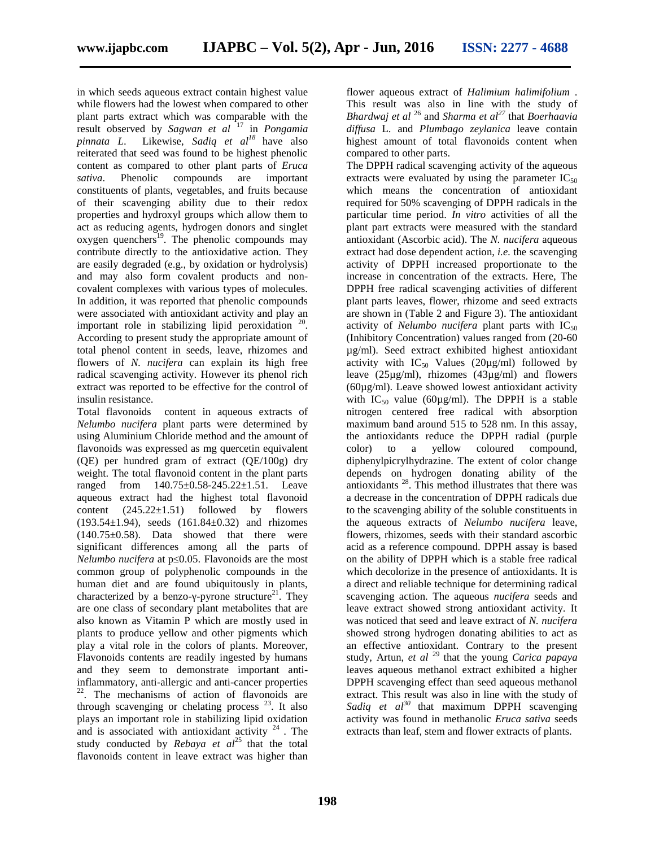in which seeds aqueous extract contain highest value while flowers had the lowest when compared to other plant parts extract which was comparable with the result observed by *Sagwan et al* <sup>17</sup> in *Pongamia pinnata L*. Likewise, *Sadiq et al<sup>18</sup>* have also reiterated that seed was found to be highest phenolic content as compared to other plant parts of *Eruca sativa*. Phenolic compounds are important constituents of plants, vegetables, and fruits because of their scavenging ability due to their redox properties and hydroxyl groups which allow them to act as reducing agents, hydrogen donors and singlet oxygen quenchers<sup>19</sup>. The phenolic compounds may contribute directly to the antioxidative action. They are easily degraded (e.g., by oxidation or hydrolysis) and may also form covalent products and non covalent complexes with various types of molecules. In addition, it was reported that phenolic compounds were associated with antioxidant activity and play an important role in stabilizing lipid peroxidation  $20$ . According to present study the appropriate amount of total phenol content in seeds, leave, rhizomes and flowers of *N. nucifera* can explain its high free radical scavenging activity. However its phenol rich extract was reported to be effective for the control of insulin resistance.

Total flavonoids content in aqueous extracts of *Nelumbo nucifera* plant parts were determined by using Aluminium Chloride method and the amount of flavonoids was expressed as mg quercetin equivalent (QE) per hundred gram of extract (QE/100g) dry weight. The total flavonoid content in the plant parts ranged from 140.75±0.58-245.22±1.51. Leave aqueous extract had the highest total flavonoid content  $(245.22 \pm 1.51)$  followed by flowers (193.54±1.94), seeds (161.84±0.32) and rhizomes  $(140.75\pm0.58)$ . Data showed that there were significant differences among all the parts of *Nelumbo nucifera* at p 0.05. Flavonoids are the most common group of polyphenolic compounds in the human diet and are found ubiquitously in plants, characterized by a benzo--pyrone structure<sup>21</sup>. They are one class of secondary plant metabolites that are also known as Vitamin P which are mostly used in plants to produce yellow and other pigments which play a vital role in the colors of plants. Moreover, Flavonoids contents are readily ingested by humans and they seem to demonstrate important antiinflammatory, anti-allergic and anti-cancer properties 22 . The mechanisms of action of flavonoids are through scavenging or chelating process  $^{23}$ . It also plays an important role in stabilizing lipid oxidation and is associated with antioxidant activity  $24$ . The study conducted by *Rebaya et al*<sup>25</sup> that the total flavonoids content in leave extract was higher than

flower aqueous extract of *Halimium halimifolium* . This result was also in line with the study of *Bhardwaj et al* <sup>26</sup> and *Sharma et al<sup>27</sup>* that *Boerhaavia diffusa* L. and *Plumbago zeylanica* leave contain highest amount of total flavonoids content when compared to other parts.

The DPPH radical scavenging activity of the aqueous extracts were evaluated by using the parameter  $IC_{50}$ which means the concentration of antioxidant required for 50% scavenging of DPPH radicals in the particular time period. *In vitro* activities of all the plant part extracts were measured with the standard antioxidant (Ascorbic acid). The *N. nucifera* aqueous extract had dose dependent action, *i.e.* the scavenging activity of DPPH increased proportionate to the increase in concentration of the extracts. Here, The DPPH free radical scavenging activities of different plant parts leaves, flower, rhizome and seed extracts are shown in (Table 2 and Figure 3). The antioxidant activity of *Nelumbo nucifera* plant parts with  $IC_{50}$ (Inhibitory Concentration) values ranged from (20-60 µg/ml). Seed extract exhibited highest antioxidant activity with  $IC_{50}$  Values (20µg/ml) followed by leave (25µg/ml), rhizomes (43µg/ml) and flowers (60µg/ml). Leave showed lowest antioxidant activity with  $IC_{50}$  value (60µg/ml). The DPPH is a stable nitrogen centered free radical with absorption maximum band around 515 to 528 nm. In this assay, the antioxidants reduce the DPPH radial (purple color) to a yellow coloured compound, diphenylpicrylhydrazine. The extent of color change depends on hydrogen donating ability of the antioxidants  $28$ . This method illustrates that there was a decrease in the concentration of DPPH radicals due to the scavenging ability of the soluble constituents in the aqueous extracts of *Nelumbo nucifera* leave, flowers, rhizomes, seeds with their standard ascorbic acid as a reference compound. DPPH assay is based on the ability of DPPH which is a stable free radical which decolorize in the presence of antioxidants. It is a direct and reliable technique for determining radical scavenging action. The aqueous *nucifera* seeds and leave extract showed strong antioxidant activity. It was noticed that seed and leave extract of *N. nucifera* showed strong hydrogen donating abilities to act as an effective antioxidant. Contrary to the present study, Artun, *et al* <sup>29</sup> that the young *Carica papaya* leaves aqueous methanol extract exhibited a higher DPPH scavenging effect than seed aqueous methanol extract. This result was also in line with the study of *Sadiq et al<sup>30</sup>* that maximum DPPH scavenging activity was found in methanolic *Eruca sativa* seeds extracts than leaf, stem and flower extracts of plants.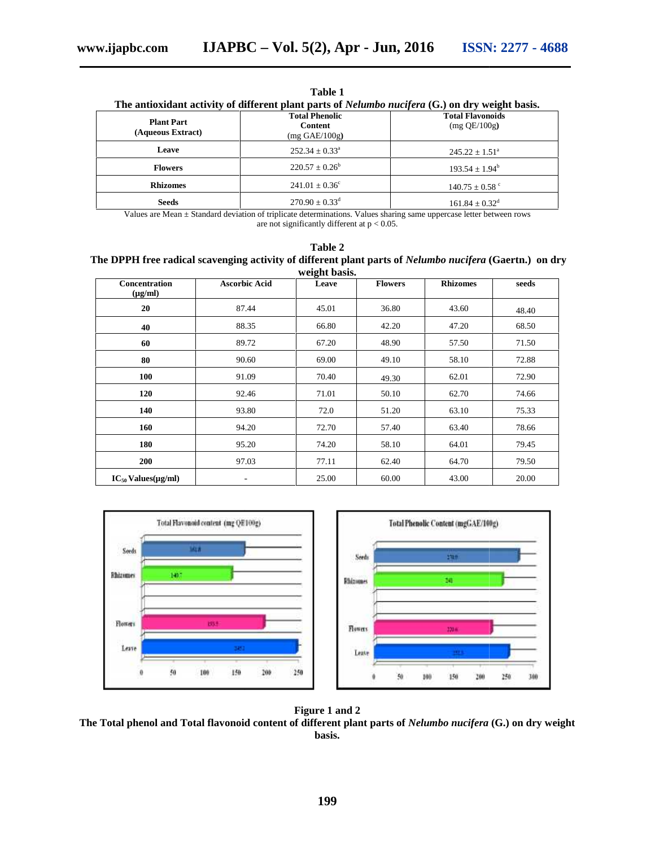**Table 1**

| The antioxidant activity of different plant parts of <i>Nelumbo nucifera</i> (G.) on dry weight basis. |  |  |
|--------------------------------------------------------------------------------------------------------|--|--|
|                                                                                                        |  |  |

| <b>Plant Part</b><br>(Aqueous Extract) | <b>Total Phenolic</b><br><b>Content</b><br>$(mg \text{ GAE}/100g)$                                                                                                          | <b>Total Flavonoids</b><br>$(mg$ QE/100g) |
|----------------------------------------|-----------------------------------------------------------------------------------------------------------------------------------------------------------------------------|-------------------------------------------|
| Leave                                  | $252.34 \pm 0.33^{\circ}$                                                                                                                                                   | $245.22 \pm 1.51^{\circ}$                 |
| <b>Flowers</b>                         | $220.57 \pm 0.26^b$                                                                                                                                                         | $193.54 \pm 1.94^b$                       |
| <b>Rhizomes</b>                        | $241.01 \pm 0.36^{\circ}$                                                                                                                                                   | $140.75 \pm 0.58$ °                       |
| <b>Seeds</b>                           | $270.90 \pm 0.33$ <sup>d</sup>                                                                                                                                              | $161.84 \pm 0.32$ <sup>d</sup>            |
|                                        | Values are Mean $\pm$ Standard deviation of triplicate determinations. Values sharing same uppercase letter between rows<br>are not significantly different at $p < 0.05$ . |                                           |

| Table 2                                                                                                 |
|---------------------------------------------------------------------------------------------------------|
| The DPPH free radical scavenging activity of different plant parts of Nelumbo nucifera (Gaertn.) on dry |
| weight basis.                                                                                           |

| Values are Mean ± Standard deviation of triplicate determinations. Values sharing same uppercase letter between rows |                                           | are not significantly different at $p < 0.05$ . |                          |                |                                                   |            |       |
|----------------------------------------------------------------------------------------------------------------------|-------------------------------------------|-------------------------------------------------|--------------------------|----------------|---------------------------------------------------|------------|-------|
| The DPPH free radical scavenging activity of different plant parts of Nelumbo nucifera (Gaertn.) on dry              |                                           |                                                 | Table 2<br>weight basis. |                |                                                   |            |       |
| Concentration<br>$(\mu g/ml)$                                                                                        | <b>Ascorbic Acid</b>                      |                                                 | Leave                    | <b>Flowers</b> | <b>Rhizomes</b>                                   |            | seeds |
| 20                                                                                                                   | 87.44                                     |                                                 | 45.01                    | 36.80          | 43.60                                             |            | 48.40 |
| 40                                                                                                                   | 88.35                                     |                                                 | 66.80                    | 42.20          | 47.20                                             |            | 68.50 |
| 60                                                                                                                   | 89.72                                     | 67.20                                           |                          | 48.90          | 57.50                                             |            | 71.50 |
| 80                                                                                                                   | 90.60                                     |                                                 | 69.00                    | 49.10          | 58.10                                             |            | 72.88 |
| 100                                                                                                                  | 91.09                                     |                                                 | 70.40                    | 49.30          | 62.01                                             |            | 72.90 |
| 120                                                                                                                  | 92.46                                     |                                                 | 71.01                    | 50.10          | 62.70                                             |            | 74.66 |
| 140                                                                                                                  | 93.80                                     |                                                 | 72.0                     | 51.20          | 63.10                                             |            | 75.33 |
| 160                                                                                                                  | 94.20                                     |                                                 | 72.70                    | 57.40          | 63.40                                             |            | 78.66 |
| 180                                                                                                                  | 95.20                                     |                                                 | 74.20                    | 58.10          | 64.01                                             |            | 79.45 |
| 200                                                                                                                  | 97.03                                     |                                                 | 77.11                    | 62.40          | 64.70                                             |            | 79.50 |
| $IC_{50}$ Values(µg/ml)                                                                                              |                                           |                                                 | 25.00                    | 60.00          | 43.00                                             |            | 20.00 |
| Seeds<br><b>Rhizimus</b><br>1407                                                                                     | Total Flavonoid content (mg QE100g)<br>购方 |                                                 | Seeds<br><b>Rhizomes</b> |                | Total Phenolic Content (mgGAE/100g)<br>1300<br>50 |            |       |
| <b>Flowers</b>                                                                                                       | 195.5                                     |                                                 | <b>Flowers</b>           |                | 220 %                                             |            |       |
| Leave                                                                                                                |                                           |                                                 | Leate                    |                |                                                   |            |       |
| 50                                                                                                                   | 150<br>100                                | 200<br>250                                      |                          | $50\,$         | 100<br>150                                        | 200<br>250 | 300   |





**The Total phenol and Total flavonoid content of different plant parts of** *Nelumbo nucifera* **(G.) on dry weight basis.**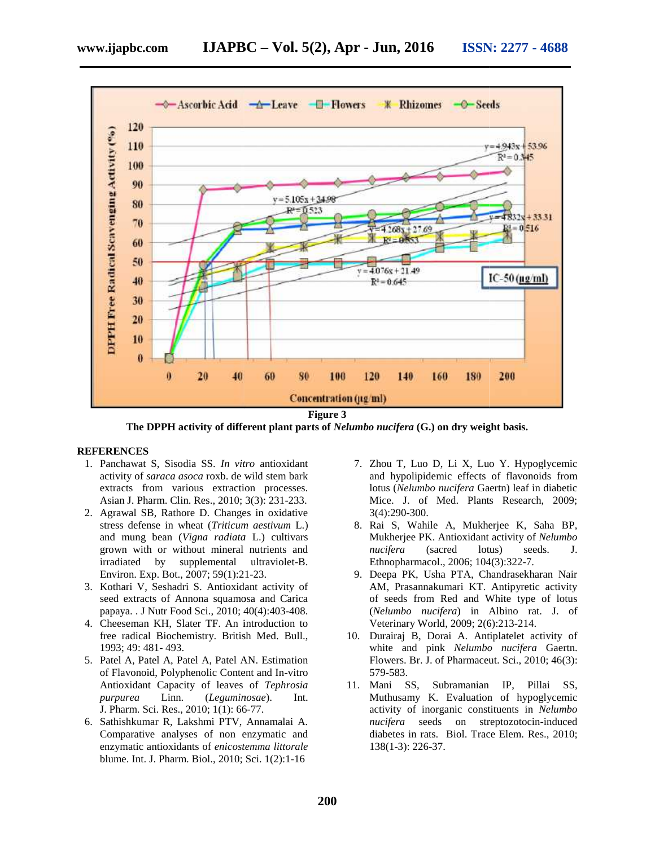

**The DPPH activity of different plant parts of** *Nelumbo nucifera* **(G.) on dry weight basis. plant dry weight basis.**

#### **REFERENCES**

- 1. Panchawat S, Sisodia SS. *In vitro* antioxidant *In vitro*activity of *saraca asoca* roxb. de wild stem bark extracts from various extraction processes. Asian J. Pharm. Clin. Res., 2010; 3(3): 231-233.
- 2. Agrawal SB, Rathore D. Changes in oxidative stress defense in wheat (*Triticum aestivum* L.) and mung bean (*Vigna radiata* L.) cultivars grown with or without mineral nutrients and irradiated by supplemental ultraviolet-B. Environ. Exp. Bot., 2007; 59(1):21-23. J. Pharm. Clin. Res., 2010; 3(3): 231-233.<br>val SB, Rathore D. Changes in oxidative<br>defense in wheat (*Triticum aestivum* L.) in with or without mineral nutrients and<br>ated by supplemental ultraviolet-B.<br>on. Exp. Bot., 2007; 59(1):21-23.<br>ari V, Seshadri S. Antioxidant activity of<br>extracts of Annona squamosa and Carica<br>a. . J Nutr Food Sci., 2010;
- 3. Kothari V, Seshadri S. Antioxidant activity of seed extracts of Annona squamosa and Carica papaya. . J Nutr Food Sci., 2010; 40(4):403-408.
- 4. Cheeseman KH, Slater TF. An introduction to free radical Biochemistry. British Med. Bull., 1993; 49: 481- 493.
- 5. Patel A, Patel A, Patel A, Patel AN. Estimation of Flavonoid, Polyphenolic Content and In-vitro Antioxidant Capacity of leaves of *Tephrosia* Antioxidant *Tephrosia purpurea* Linn. (*Leguminosae*). Int. J. Pharm. Sci. Res., 2010; 1(1): 66-77.
- 6. Sathishkumar R, Lakshmi PTV, Annamalai A. Comparative analyses of non enzymatic and enzymatic antioxidants of *enicostemma littorale* blume. Int. J. Pharm. Biol., 2010; Sci. 1(2):1-16
- 7. Zhou T, Luo D, Li X, Luo Y. Hypoglycemic and hypolipidemic effects of flavonoids from lotus (*Nelumbo nucifera* Gaertn) leaf in diabetic Mice. J. of Med. Plants Research, 2009; 3(4):290-300.
- 8. Rai S, Wahile A, Mukherjee K, Saha BP, Mukherjee PK. Antioxidant activity of *Nelumbo nucifera* (sacred lotus) seeds. J. Ethnopharmacol., 2006; 104(3):322-7.
- 9. Deepa PK, Usha PTA, Chandrasekharan Nair AM, Prasannakumari KT. Antipyretic activity of seeds from Red and White type of lotus of seeds from Red and White type of lotus<br>(*Nelumbo nucifera*) in Albino rat. J. of Veterinary World, 2009; 2(6):213-214. Veterinary World, 2009; 2(6):213-214.<br>10. Durairaj B, Dorai A. Antiplatelet activity of
- white and pink *Nelumbo nucifera* Gaertn. Flowers. Br. J. of Pharmaceut. Sci., 2010; 46(3): 579-583.
- 11. Mani SS, Subramanian IP, Pillai SS, Muthusamy K. Evaluation of hypoglycemic Mani SS, Subramanian IP, Pillai SS,<br>Muthusamy K. Evaluation of hypoglycemic<br>activity of inorganic constituents in *Nelumbo nucifera* seeds on streptozotocin-induced diabetes in rats. Biol. Trace Elem. Res., 2010; Elem. 138(1-3): 226-37. S, Sisoida SS. *In vitro* antioxidant 17. Zhou D, Li X, Luo Y. Hypegycemic<br>
scarcea asea rook devid stem bark<br>
and hypolipidemic effects of flavonoids from<br>
om various extraction processes.<br>
lotus (Nelumbo nucifera Gaertn